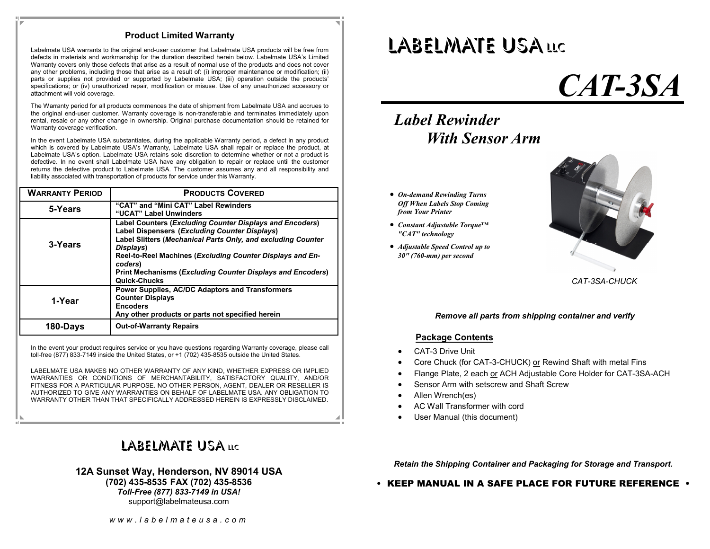#### **Product Limited Warranty**

Labelmate USA warrants to the original end-user customer that Labelmate USA products will be free from defects in materials and workmanship for the duration described herein below. Labelmate USA's Limited Warranty covers only those defects that arise as a result of normal use of the products and does not cover any other problems, including those that arise as a result of: (i) improper maintenance or modification; (ii) parts or supplies not provided or supported by Labelmate USA; (iii) operation outside the products' specifications; or (iv) unauthorized repair, modification or misuse. Use of any unauthorized accessory or attachment will void coverage.

The Warranty period for all products commences the date of shipment from Labelmate USA and accrues to the original end-user customer. Warranty coverage is non-transferable and terminates immediately upon rental, resale or any other change in ownership. Original purchase documentation should be retained for Warranty coverage verification.

In the event Labelmate USA substantiates, during the applicable Warranty period, a defect in any product which is covered by Labelmate USA's Warranty, Labelmate USA shall repair or replace the product, at Labelmate USA's option. Labelmate USA retains sole discretion to determine whether or not a product is defective. In no event shall Labelmate USA have any obligation to repair or replace until the customer returns the defective product to Labelmate USA. The customer assumes any and all responsibility and liability associated with transportation of products for service under this Warranty.

| <b>WARRANTY PERIOD</b> | <b>PRODUCTS COVERED</b>                                                                                                                                                                                                                                                                                                                                    |
|------------------------|------------------------------------------------------------------------------------------------------------------------------------------------------------------------------------------------------------------------------------------------------------------------------------------------------------------------------------------------------------|
| 5-Years                | "CAT" and "Mini CAT" Label Rewinders<br>"UCAT" Label Unwinders                                                                                                                                                                                                                                                                                             |
| 3-Years                | <b>Label Counters (Excluding Counter Displays and Encoders)</b><br>Label Dispensers (Excluding Counter Displays)<br>Label Slitters (Mechanical Parts Only, and excluding Counter<br>Displays)<br>Reel-to-Reel Machines (Excluding Counter Displays and En-<br>coders)<br><b>Print Mechanisms (Excluding Counter Displays and Encoders)</b><br>Quick-Chucks |
| 1-Year                 | <b>Power Supplies, AC/DC Adaptors and Transformers</b><br><b>Counter Displays</b><br><b>Encoders</b><br>Any other products or parts not specified herein                                                                                                                                                                                                   |
| 180-Days               | <b>Out-of-Warranty Repairs</b>                                                                                                                                                                                                                                                                                                                             |

In the event your product requires service or you have questions regarding Warranty coverage, please call toll-free (877) 833-7149 inside the United States, or +1 (702) 435-8535 outside the United States.

LABELMATE USA MAKES NO OTHER WARRANTY OF ANY KIND, WHETHER EXPRESS OR IMPLIED WARRANTIES OR CONDITIONS OF MERCHANTABILITY, SATISFACTORY QUALITY, AND/OR FITNESS FOR A PARTICULAR PURPOSE. NO OTHER PERSON, AGENT, DEALER OR RESELLER IS AUTHORIZED TO GIVE ANY WARRANTIES ON BEHALF OF LABELMATE USA. ANY OBLIGATION TO WARRANTY OTHER THAN THAT SPECIFICALLY ADDRESSED HEREIN IS EXPRESSLY DISCLAIMED.

## LABELMATE USA <mark>llc</mark>

#### **12A Sunset Way, Henderson, NV 89014 USA (702) 435-8535 FAX (702) 435-8536** *Toll-Free (877) 833-7149 in USA!* support@labelmateusa.com

## LABELMATE USALLC

# *CAT-3SA*

## *Label Rewinder With Sensor Arm*

- *On-demand Rewinding Turns Off When Labels Stop Coming from Your Printer*
- *Constant Adjustable Torque™ "CAT" technology*
- *Adjustable Speed Control up to 30" (760-mm) per second*



*CAT-3SA-CHUCK* 

#### *Remove all parts from shipping container and verify*

#### **Package Contents**

- CAT-3 Drive Unit
- Core Chuck (for CAT-3-CHUCK) or Rewind Shaft with metal Fins
- Flange Plate, 2 each or ACH Adjustable Core Holder for CAT-3SA-ACH
- Sensor Arm with setscrew and Shaft Screw
- Allen Wrench(es)
- AC Wall Transformer with cord
- User Manual (this document)

*Retain the Shipping Container and Packaging for Storage and Transport.* 

• KEEP MANUAL IN A SAFE PLACE FOR FUTURE REFERENCE •